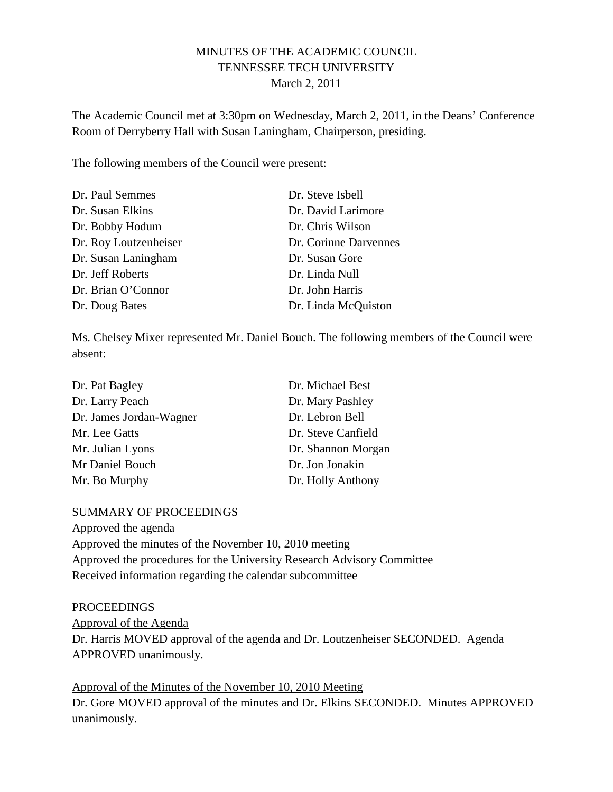# MINUTES OF THE ACADEMIC COUNCIL TENNESSEE TECH UNIVERSITY March 2, 2011

The Academic Council met at 3:30pm on Wednesday, March 2, 2011, in the Deans' Conference Room of Derryberry Hall with Susan Laningham, Chairperson, presiding.

The following members of the Council were present:

| Dr. Paul Semmes       | Dr. Steve Isbell      |
|-----------------------|-----------------------|
| Dr. Susan Elkins      | Dr. David Larimore    |
| Dr. Bobby Hodum       | Dr. Chris Wilson      |
| Dr. Roy Loutzenheiser | Dr. Corinne Darvennes |
| Dr. Susan Laningham   | Dr. Susan Gore        |
| Dr. Jeff Roberts      | Dr. Linda Null        |
| Dr. Brian O'Connor    | Dr. John Harris       |
| Dr. Doug Bates        | Dr. Linda McQuiston   |

Ms. Chelsey Mixer represented Mr. Daniel Bouch. The following members of the Council were absent:

| Dr. Pat Bagley          | Dr. Michael Best   |
|-------------------------|--------------------|
| Dr. Larry Peach         | Dr. Mary Pashley   |
| Dr. James Jordan-Wagner | Dr. Lebron Bell    |
| Mr. Lee Gatts           | Dr. Steve Canfield |
| Mr. Julian Lyons        | Dr. Shannon Morgan |
| Mr Daniel Bouch         | Dr. Jon Jonakin    |
| Mr. Bo Murphy           | Dr. Holly Anthony  |

#### SUMMARY OF PROCEEDINGS

Approved the agenda Approved the minutes of the November 10, 2010 meeting Approved the procedures for the University Research Advisory Committee Received information regarding the calendar subcommittee

#### **PROCEEDINGS**

Approval of the Agenda Dr. Harris MOVED approval of the agenda and Dr. Loutzenheiser SECONDED. Agenda APPROVED unanimously.

Approval of the Minutes of the November 10, 2010 Meeting Dr. Gore MOVED approval of the minutes and Dr. Elkins SECONDED. Minutes APPROVED unanimously.